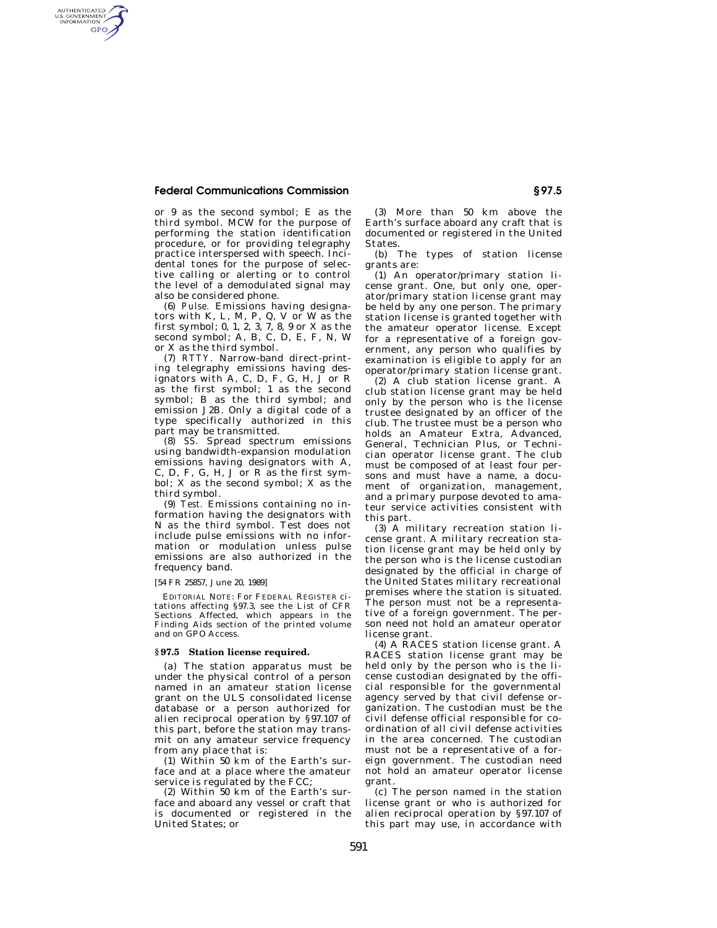## **Federal Communications Commission § 97.5**

AUTHENTICATED<br>U.S. GOVERNMENT<br>INFORMATION GPO

> or 9 as the second symbol; E as the third symbol. MCW for the purpose of performing the station identification procedure, or for providing telegraphy practice interspersed with speech. Incidental tones for the purpose of selective calling or alerting or to control the level of a demodulated signal may also be considered phone.

> (6) *Pulse.* Emissions having designators with K, L, M, P, Q, V or W as the first symbol; 0, 1, 2, 3, 7, 8, 9 or X as the second symbol; A, B, C, D, E, F, N, W or X as the third symbol.

> (7) *RTTY.* Narrow-band direct-printing telegraphy emissions having designators with A, C, D, F, G, H,  $\bar{J}$  or R as the first symbol; 1 as the second symbol; B as the third symbol; and emission J2B. Only a digital code of a type specifically authorized in this part may be transmitted.

> (8) *SS.* Spread spectrum emissions using bandwidth-expansion modulation emissions having designators with A, C, D, F, G, H, J or R as the first symbol; X as the second symbol; X as the third symbol.

> (9) *Test.* Emissions containing no information having the designators with N as the third symbol. Test does not include pulse emissions with no information or modulation unless pulse emissions are also authorized in the frequency band.

[54 FR 25857, June 20, 1989]

EDITORIAL NOTE: For FEDERAL REGISTER citations affecting §97.3, see the List of CFR Sections Affected, which appears in the Finding Aids section of the printed volume and on GPO Access.

## **§ 97.5 Station license required.**

(a) The station apparatus must be under the physical control of a person named in an amateur station license grant on the ULS consolidated license database or a person authorized for alien reciprocal operation by §97.107 of this part, before the station may transmit on any amateur service frequency from any place that is:

(1) Within 50 km of the Earth's surface and at a place where the amateur service is regulated by the FCC;

(2) Within 50 km of the Earth's surface and aboard any vessel or craft that is documented or registered in the United States; or

(3) More than 50 km above the Earth's surface aboard any craft that is documented or registered in the United States.

(b) The types of station license grants are:

(1) An operator/primary station license grant. One, but only one, operator/primary station license grant may be held by any one person. The primary station license is granted together with the amateur operator license. Except for a representative of a foreign government, any person who qualifies by examination is eligible to apply for an operator/primary station license grant.

(2) A club station license grant. A club station license grant may be held only by the person who is the license trustee designated by an officer of the club. The trustee must be a person who holds an Amateur Extra, Advanced, General, Technician Plus, or Technician operator license grant. The club must be composed of at least four persons and must have a name, a document of organization, management, and a primary purpose devoted to amateur service activities consistent with this part.

(3) A military recreation station license grant. A military recreation station license grant may be held only by the person who is the license custodian designated by the official in charge of the United States military recreational premises where the station is situated. The person must not be a representative of a foreign government. The person need not hold an amateur operator license grant.

(4) A RACES station license grant. A RACES station license grant may be held only by the person who is the license custodian designated by the official responsible for the governmental agency served by that civil defense organization. The custodian must be the civil defense official responsible for coordination of all civil defense activities in the area concerned. The custodian must not be a representative of a foreign government. The custodian need not hold an amateur operator license grant.

(c) The person named in the station license grant or who is authorized for alien reciprocal operation by §97.107 of this part may use, in accordance with